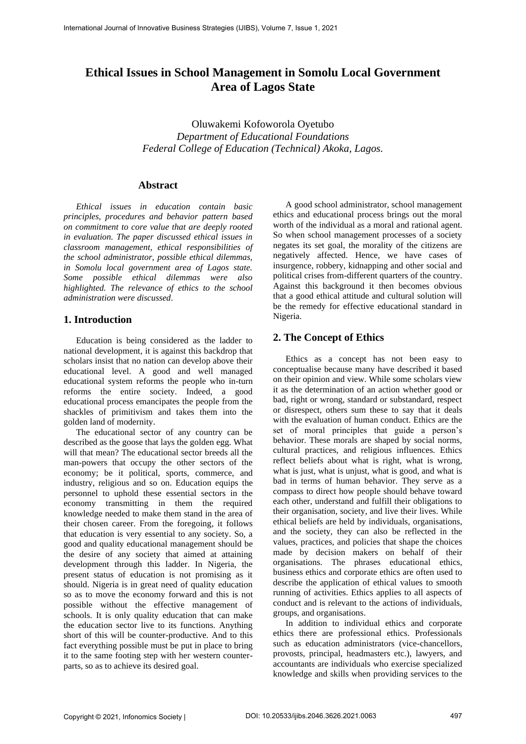# **Ethical Issues in School Management in Somolu Local Government Area of Lagos State**

Oluwakemi Kofoworola Oyetubo *Department of Educational Foundations Federal College of Education (Technical) Akoka, Lagos.*

### **Abstract**

*Ethical issues in education contain basic principles, procedures and behavior pattern based on commitment to core value that are deeply rooted in evaluation. The paper discussed ethical issues in classroom management, ethical responsibilities of the school administrator, possible ethical dilemmas, in Somolu local government area of Lagos state. Some possible ethical dilemmas were also highlighted. The relevance of ethics to the school administration were discussed.* 

### **1. Introduction**

Education is being considered as the ladder to national development, it is against this backdrop that scholars insist that no nation can develop above their educational level. A good and well managed educational system reforms the people who in-turn reforms the entire society. Indeed, a good educational process emancipates the people from the shackles of primitivism and takes them into the golden land of modernity.

The educational sector of any country can be described as the goose that lays the golden egg. What will that mean? The educational sector breeds all the man-powers that occupy the other sectors of the economy; be it political, sports, commerce, and industry, religious and so on. Education equips the personnel to uphold these essential sectors in the economy transmitting in them the required knowledge needed to make them stand in the area of their chosen career. From the foregoing, it follows that education is very essential to any society. So, a good and quality educational management should be the desire of any society that aimed at attaining development through this ladder. In Nigeria, the present status of education is not promising as it should. Nigeria is in great need of quality education so as to move the economy forward and this is not possible without the effective management of schools. It is only quality education that can make the education sector live to its functions. Anything short of this will be counter-productive. And to this fact everything possible must be put in place to bring it to the same footing step with her western counterparts, so as to achieve its desired goal.

A good school administrator, school management ethics and educational process brings out the moral worth of the individual as a moral and rational agent. So when school management processes of a society negates its set goal, the morality of the citizens are negatively affected. Hence, we have cases of insurgence, robbery, kidnapping and other social and political crises from-different quarters of the country. Against this background it then becomes obvious that a good ethical attitude and cultural solution will be the remedy for effective educational standard in Nigeria.

### **2. The Concept of Ethics**

Ethics as a concept has not been easy to conceptualise because many have described it based on their opinion and view. While some scholars view it as the determination of an action whether good or bad, right or wrong, standard or substandard, respect or disrespect, others sum these to say that it deals with the evaluation of human conduct. Ethics are the set of moral principles that guide a person's behavior. These morals are shaped by social norms, cultural practices, and religious influences. Ethics reflect beliefs about what is right, what is wrong, what is just, what is unjust, what is good, and what is bad in terms of human behavior. They serve as a compass to direct how people should behave toward each other, understand and fulfill their obligations to their organisation, society, and live their lives. While ethical beliefs are held by individuals, organisations, and the society, they can also be reflected in the values, practices, and policies that shape the choices made by decision makers on behalf of their organisations. The phrases educational ethics, business ethics and corporate ethics are often used to describe the application of ethical values to smooth running of activities. Ethics applies to all aspects of conduct and is relevant to the actions of individuals, groups, and organisations.

In addition to individual ethics and corporate ethics there are professional ethics. Professionals such as education administrators (vice-chancellors, provosts, principal, headmasters etc.), lawyers, and accountants are individuals who exercise specialized knowledge and skills when providing services to the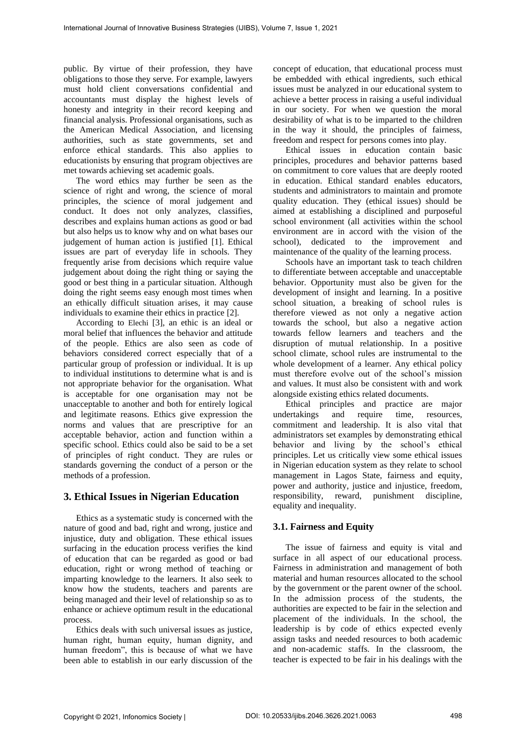public. By virtue of their profession, they have obligations to those they serve. For example, lawyers must hold client conversations confidential and accountants must display the highest levels of honesty and integrity in their record keeping and financial analysis. Professional organisations, such as the American Medical Association, and licensing authorities, such as state governments, set and enforce ethical standards. This also applies to educationists by ensuring that program objectives are met towards achieving set academic goals.

The word ethics may further be seen as the science of right and wrong, the science of moral principles, the science of moral judgement and conduct. It does not only analyzes, classifies, describes and explains human actions as good or bad but also helps us to know why and on what bases our judgement of human action is justified [1]. Ethical issues are part of everyday life in schools. They frequently arise from decisions which require value judgement about doing the right thing or saying the good or best thing in a particular situation. Although doing the right seems easy enough most times when an ethically difficult situation arises, it may cause individuals to examine their ethics in practice [2].

According to Elechi [3], an ethic is an ideal or moral belief that influences the behavior and attitude of the people. Ethics are also seen as code of behaviors considered correct especially that of a particular group of profession or individual. It is up to individual institutions to determine what is and is not appropriate behavior for the organisation. What is acceptable for one organisation may not be unacceptable to another and both for entirely logical and legitimate reasons. Ethics give expression the norms and values that are prescriptive for an acceptable behavior, action and function within a specific school. Ethics could also be said to be a set of principles of right conduct. They are rules or standards governing the conduct of a person or the methods of a profession.

### **3. Ethical Issues in Nigerian Education**

Ethics as a systematic study is concerned with the nature of good and bad, right and wrong, justice and injustice, duty and obligation. These ethical issues surfacing in the education process verifies the kind of education that can be regarded as good or bad education, right or wrong method of teaching or imparting knowledge to the learners. It also seek to know how the students, teachers and parents are being managed and their level of relationship so as to enhance or achieve optimum result in the educational process.

Ethics deals with such universal issues as justice, human right, human equity, human dignity, and human freedom", this is because of what we have been able to establish in our early discussion of the concept of education, that educational process must be embedded with ethical ingredients, such ethical issues must be analyzed in our educational system to achieve a better process in raising a useful individual in our society. For when we question the moral desirability of what is to be imparted to the children in the way it should, the principles of fairness, freedom and respect for persons comes into play.

Ethical issues in education contain basic principles, procedures and behavior patterns based on commitment to core values that are deeply rooted in education. Ethical standard enables educators, students and administrators to maintain and promote quality education. They (ethical issues) should be aimed at establishing a disciplined and purposeful school environment (all activities within the school environment are in accord with the vision of the school), dedicated to the improvement and maintenance of the quality of the learning process.

Schools have an important task to teach children to differentiate between acceptable and unacceptable behavior. Opportunity must also be given for the development of insight and learning. In a positive school situation, a breaking of school rules is therefore viewed as not only a negative action towards the school, but also a negative action towards fellow learners and teachers and the disruption of mutual relationship. In a positive school climate, school rules are instrumental to the whole development of a learner. Any ethical policy must therefore evolve out of the school's mission and values. It must also be consistent with and work alongside existing ethics related documents.

Ethical principles and practice are major undertakings and require time, resources, commitment and leadership. It is also vital that administrators set examples by demonstrating ethical behavior and living by the school's ethical principles. Let us critically view some ethical issues in Nigerian education system as they relate to school management in Lagos State, fairness and equity, power and authority, justice and injustice, freedom, responsibility, reward, punishment discipline, equality and inequality.

# **3.1. Fairness and Equity**

The issue of fairness and equity is vital and surface in all aspect of our educational process. Fairness in administration and management of both material and human resources allocated to the school by the government or the parent owner of the school. In the admission process of the students, the authorities are expected to be fair in the selection and placement of the individuals. In the school, the leadership is by code of ethics expected evenly assign tasks and needed resources to both academic and non-academic staffs. In the classroom, the teacher is expected to be fair in his dealings with the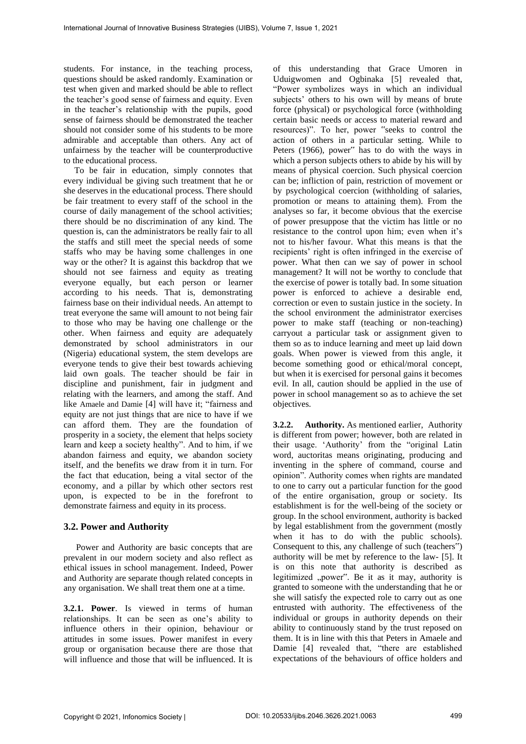students. For instance, in the teaching process, questions should be asked randomly. Examination or test when given and marked should be able to reflect the teacher's good sense of fairness and equity. Even in the teacher's relationship with the pupils, good sense of fairness should be demonstrated the teacher should not consider some of his students to be more admirable and acceptable than others. Any act of unfairness by the teacher will be counterproductive to the educational process.

To be fair in education, simply connotes that every individual be giving such treatment that he or she deserves in the educational process. There should be fair treatment to every staff of the school in the course of daily management of the school activities; there should be no discrimination of any kind. The question is, can the administrators be really fair to all the staffs and still meet the special needs of some staffs who may be having some challenges in one way or the other? It is against this backdrop that we should not see fairness and equity as treating everyone equally, but each person or learner according to his needs. That is, demonstrating fairness base on their individual needs. An attempt to treat everyone the same will amount to not being fair to those who may be having one challenge or the other. When fairness and equity are adequately demonstrated by school administrators in our (Nigeria) educational system, the stem develops are everyone tends to give their best towards achieving laid own goals. The teacher should be fair in discipline and punishment, fair in judgment and relating with the learners, and among the staff. And like Amaele and Damie [4] will have it; "fairness and equity are not just things that are nice to have if we can afford them. They are the foundation of prosperity in a society, the element that helps society learn and keep a society healthy". And to him, if we abandon fairness and equity, we abandon society itself, and the benefits we draw from it in turn. For the fact that education, being a vital sector of the economy, and a pillar by which other sectors rest upon, is expected to be in the forefront to demonstrate fairness and equity in its process.

### **3.2. Power and Authority**

Power and Authority are basic concepts that are prevalent in our modern society and also reflect as ethical issues in school management. Indeed, Power and Authority are separate though related concepts in any organisation. We shall treat them one at a time.

**3.2.1. Power**. Is viewed in terms of human relationships. It can be seen as one's ability to influence others in their opinion, behaviour or attitudes in some issues. Power manifest in every group or organisation because there are those that will influence and those that will be influenced. It is

of this understanding that Grace Umoren in Uduigwomen and Ogbinaka [5] revealed that, "Power symbolizes ways in which an individual subjects' others to his own will by means of brute force (physical) or psychological force (withholding certain basic needs or access to material reward and resources)". To her, power "seeks to control the action of others in a particular setting. While to Peters (1966), power" has to do with the ways in which a person subjects others to abide by his will by means of physical coercion. Such physical coercion can be; infliction of pain, restriction of movement or by psychological coercion (withholding of salaries, promotion or means to attaining them). From the analyses so far, it become obvious that the exercise of power presuppose that the victim has little or no resistance to the control upon him; even when it's not to his/her favour. What this means is that the recipients' right is often infringed in the exercise of power. What then can we say of power in school management? It will not be worthy to conclude that the exercise of power is totally bad. In some situation power is enforced to achieve a desirable end, correction or even to sustain justice in the society. In the school environment the administrator exercises power to make staff (teaching or non-teaching) carryout a particular task or assignment given to them so as to induce learning and meet up laid down goals. When power is viewed from this angle, it become something good or ethical/moral concept, but when it is exercised for personal gains it becomes evil. In all, caution should be applied in the use of power in school management so as to achieve the set objectives.

**3.2.2. Authority.** As mentioned earlier, Authority is different from power; however, both are related in their usage. 'Authority' from the "original Latin word, auctoritas means originating, producing and inventing in the sphere of command, course and opinion". Authority comes when rights are mandated to one to carry out a particular function for the good of the entire organisation, group or society. Its establishment is for the well-being of the society or group. In the school environment, authority is backed by legal establishment from the government (mostly when it has to do with the public schools). Consequent to this, any challenge of such (teachers") authority will be met by reference to the law- [5]. It is on this note that authority is described as legitimized "power". Be it as it may, authority is granted to someone with the understanding that he or she will satisfy the expected role to carry out as one entrusted with authority. The effectiveness of the individual or groups in authority depends on their ability to continuously stand by the trust reposed on them. It is in line with this that Peters in Amaele and Damie [4] revealed that, "there are established expectations of the behaviours of office holders and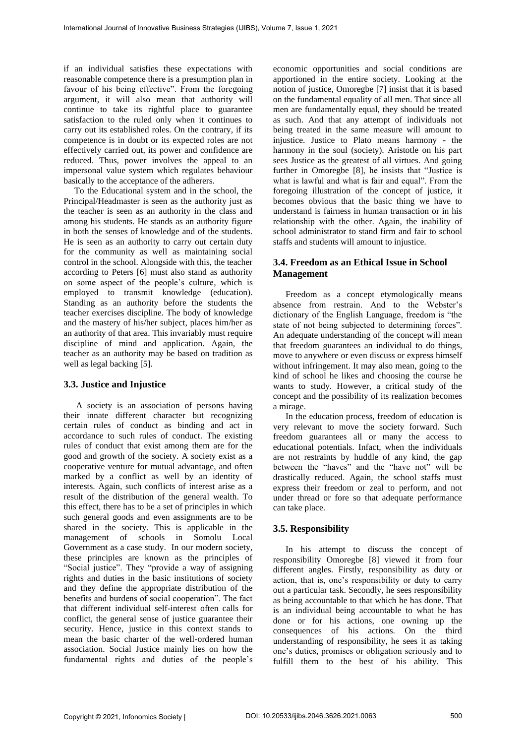if an individual satisfies these expectations with reasonable competence there is a presumption plan in favour of his being effective". From the foregoing argument, it will also mean that authority will continue to take its rightful place to guarantee satisfaction to the ruled only when it continues to carry out its established roles. On the contrary, if its competence is in doubt or its expected roles are not effectively carried out, its power and confidence are reduced. Thus, power involves the appeal to an impersonal value system which regulates behaviour basically to the acceptance of the adherers.

To the Educational system and in the school, the Principal/Headmaster is seen as the authority just as the teacher is seen as an authority in the class and among his students. He stands as an authority figure in both the senses of knowledge and of the students. He is seen as an authority to carry out certain duty for the community as well as maintaining social control in the school. Alongside with this, the teacher according to Peters [6] must also stand as authority on some aspect of the people's culture, which is employed to transmit knowledge (education). Standing as an authority before the students the teacher exercises discipline. The body of knowledge and the mastery of his/her subject, places him/her as an authority of that area. This invariably must require discipline of mind and application. Again, the teacher as an authority may be based on tradition as well as legal backing [5].

### **3.3. Justice and Injustice**

A society is an association of persons having their innate different character but recognizing certain rules of conduct as binding and act in accordance to such rules of conduct. The existing rules of conduct that exist among them are for the good and growth of the society. A society exist as a cooperative venture for mutual advantage, and often marked by a conflict as well by an identity of interests. Again, such conflicts of interest arise as a result of the distribution of the general wealth. To this effect, there has to be a set of principles in which such general goods and even assignments are to be shared in the society. This is applicable in the management of schools in Somolu Local Government as a case study. In our modern society, these principles are known as the principles of "Social justice". They "provide a way of assigning rights and duties in the basic institutions of society and they define the appropriate distribution of the benefits and burdens of social cooperation". The fact that different individual self-interest often calls for conflict, the general sense of justice guarantee their security. Hence, justice in this context stands to mean the basic charter of the well-ordered human association. Social Justice mainly lies on how the fundamental rights and duties of the people's economic opportunities and social conditions are apportioned in the entire society. Looking at the notion of justice, Omoregbe [7] insist that it is based on the fundamental equality of all men. That since all men are fundamentally equal, they should be treated as such. And that any attempt of individuals not being treated in the same measure will amount to injustice. Justice to Plato means harmony - the harmony in the soul (society). Aristotle on his part sees Justice as the greatest of all virtues. And going further in Omoregbe [8], he insists that "Justice is what is lawful and what is fair and equal". From the foregoing illustration of the concept of justice, it becomes obvious that the basic thing we have to understand is fairness in human transaction or in his relationship with the other. Again, the inability of school administrator to stand firm and fair to school staffs and students will amount to injustice.

### **3.4. Freedom as an Ethical Issue in School Management**

Freedom as a concept etymologically means absence from restrain. And to the Webster's dictionary of the English Language, freedom is "the state of not being subjected to determining forces". An adequate understanding of the concept will mean that freedom guarantees an individual to do things, move to anywhere or even discuss or express himself without infringement. It may also mean, going to the kind of school he likes and choosing the course he wants to study. However, a critical study of the concept and the possibility of its realization becomes a mirage.

In the education process, freedom of education is very relevant to move the society forward. Such freedom guarantees all or many the access to educational potentials. Infact, when the individuals are not restraints by huddle of any kind, the gap between the "haves" and the "have not" will be drastically reduced. Again, the school staffs must express their freedom or zeal to perform, and not under thread or fore so that adequate performance can take place.

### **3.5. Responsibility**

In his attempt to discuss the concept of responsibility Omoregbe [8] viewed it from four different angles. Firstly, responsibility as duty or action, that is, one's responsibility or duty to carry out a particular task. Secondly, he sees responsibility as being accountable to that which he has done. That is an individual being accountable to what he has done or for his actions, one owning up the consequences of his actions. On the third understanding of responsibility, he sees it as taking one's duties, promises or obligation seriously and to fulfill them to the best of his ability. This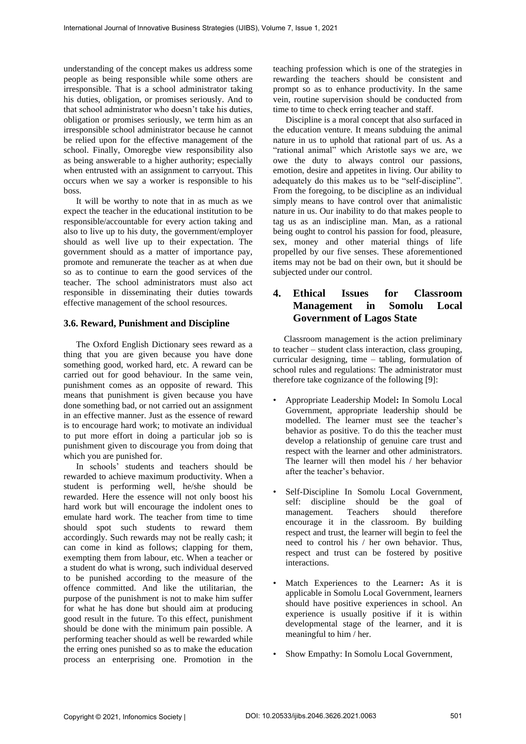understanding of the concept makes us address some people as being responsible while some others are irresponsible. That is a school administrator taking his duties, obligation, or promises seriously. And to that school administrator who doesn't take his duties, obligation or promises seriously, we term him as an irresponsible school administrator because he cannot be relied upon for the effective management of the school. Finally, Omoregbe view responsibility also as being answerable to a higher authority; especially when entrusted with an assignment to carryout. This occurs when we say a worker is responsible to his boss.

It will be worthy to note that in as much as we expect the teacher in the educational institution to be responsible/accountable for every action taking and also to live up to his duty, the government/employer should as well live up to their expectation. The government should as a matter of importance pay, promote and remunerate the teacher as at when due so as to continue to earn the good services of the teacher. The school administrators must also act responsible in disseminating their duties towards effective management of the school resources.

#### **3.6. Reward, Punishment and Discipline**

The Oxford English Dictionary sees reward as a thing that you are given because you have done something good, worked hard, etc. A reward can be carried out for good behaviour. In the same vein, punishment comes as an opposite of reward. This means that punishment is given because you have done something bad, or not carried out an assignment in an effective manner. Just as the essence of reward is to encourage hard work; to motivate an individual to put more effort in doing a particular job so is punishment given to discourage you from doing that which you are punished for.

In schools' students and teachers should be rewarded to achieve maximum productivity. When a student is performing well, he/she should be rewarded. Here the essence will not only boost his hard work but will encourage the indolent ones to emulate hard work. The teacher from time to time should spot such students to reward them accordingly. Such rewards may not be really cash; it can come in kind as follows; clapping for them, exempting them from labour, etc. When a teacher or a student do what is wrong, such individual deserved to be punished according to the measure of the offence committed. And like the utilitarian, the purpose of the punishment is not to make him suffer for what he has done but should aim at producing good result in the future. To this effect, punishment should be done with the minimum pain possible. A performing teacher should as well be rewarded while the erring ones punished so as to make the education process an enterprising one. Promotion in the

teaching profession which is one of the strategies in rewarding the teachers should be consistent and prompt so as to enhance productivity. In the same vein, routine supervision should be conducted from time to time to check erring teacher and staff.

Discipline is a moral concept that also surfaced in the education venture. It means subduing the animal nature in us to uphold that rational part of us. As a "rational animal" which Aristotle says we are, we owe the duty to always control our passions, emotion, desire and appetites in living. Our ability to adequately do this makes us to be "self-discipline". From the foregoing, to be discipline as an individual simply means to have control over that animalistic nature in us. Our inability to do that makes people to tag us as an indiscipline man. Man, as a rational being ought to control his passion for food, pleasure, sex, money and other material things of life propelled by our five senses. These aforementioned items may not be bad on their own, but it should be subjected under our control.

# **4. Ethical Issues for Classroom Management in Somolu Local Government of Lagos State**

Classroom management is the action preliminary to teacher – student class interaction, class grouping, curricular designing, time – tabling, formulation of school rules and regulations: The administrator must therefore take cognizance of the following [9]:

- Appropriate Leadership Model**:** In Somolu Local Government, appropriate leadership should be modelled. The learner must see the teacher's behavior as positive. To do this the teacher must develop a relationship of genuine care trust and respect with the learner and other administrators. The learner will then model his / her behavior after the teacher's behavior.
- Self-Discipline In Somolu Local Government, self: discipline should be the goal of management. Teachers should therefore encourage it in the classroom. By building respect and trust, the learner will begin to feel the need to control his / her own behavior. Thus, respect and trust can be fostered by positive interactions.
- Match Experiences to the Learner**:** As it is applicable in Somolu Local Government, learners should have positive experiences in school. An experience is usually positive if it is within developmental stage of the learner, and it is meaningful to him / her.
- Show Empathy: In Somolu Local Government,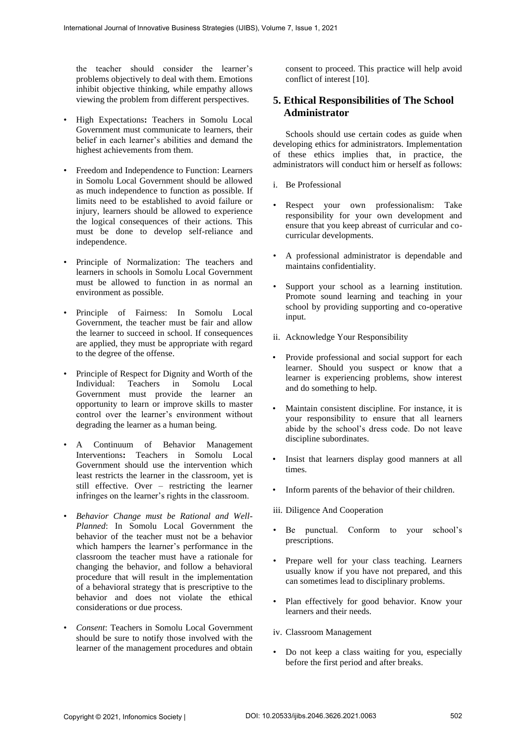the teacher should consider the learner's problems objectively to deal with them. Emotions inhibit objective thinking, while empathy allows viewing the problem from different perspectives.

- High Expectations**:** Teachers in Somolu Local Government must communicate to learners, their belief in each learner's abilities and demand the highest achievements from them.
- Freedom and Independence to Function: Learners in Somolu Local Government should be allowed as much independence to function as possible. If limits need to be established to avoid failure or injury, learners should be allowed to experience the logical consequences of their actions. This must be done to develop self-reliance and independence.
- Principle of Normalization: The teachers and learners in schools in Somolu Local Government must be allowed to function in as normal an environment as possible.
- Principle of Fairness: In Somolu Local Government, the teacher must be fair and allow the learner to succeed in school. If consequences are applied, they must be appropriate with regard to the degree of the offense.
- Principle of Respect for Dignity and Worth of the Individual: Teachers in Somolu Local Government must provide the learner an opportunity to learn or improve skills to master control over the learner's environment without degrading the learner as a human being.
- A Continuum of Behavior Management Interventions**:** Teachers in Somolu Local Government should use the intervention which least restricts the learner in the classroom, yet is still effective. Over – restricting the learner infringes on the learner's rights in the classroom.
- *Behavior Change must be Rational and Well-Planned*: In Somolu Local Government the behavior of the teacher must not be a behavior which hampers the learner's performance in the classroom the teacher must have a rationale for changing the behavior, and follow a behavioral procedure that will result in the implementation of a behavioral strategy that is prescriptive to the behavior and does not violate the ethical considerations or due process.
- *Consent*: Teachers in Somolu Local Government should be sure to notify those involved with the learner of the management procedures and obtain

consent to proceed. This practice will help avoid conflict of interest [10].

# **5. Ethical Responsibilities of The School Administrator**

Schools should use certain codes as guide when developing ethics for administrators. Implementation of these ethics implies that, in practice, the administrators will conduct him or herself as follows:

- i. Be Professional
- Respect your own professionalism: Take responsibility for your own development and ensure that you keep abreast of curricular and cocurricular developments.
- A professional administrator is dependable and maintains confidentiality.
- Support your school as a learning institution. Promote sound learning and teaching in your school by providing supporting and co-operative input.
- ii. Acknowledge Your Responsibility
- Provide professional and social support for each learner. Should you suspect or know that a learner is experiencing problems, show interest and do something to help.
- Maintain consistent discipline. For instance, it is your responsibility to ensure that all learners abide by the school's dress code. Do not leave discipline subordinates.
- Insist that learners display good manners at all times.
- Inform parents of the behavior of their children.
- iii. Diligence And Cooperation
- Be punctual. Conform to your school's prescriptions.
- Prepare well for your class teaching. Learners usually know if you have not prepared, and this can sometimes lead to disciplinary problems.
- Plan effectively for good behavior. Know your learners and their needs.
- iv. Classroom Management
- Do not keep a class waiting for you, especially before the first period and after breaks.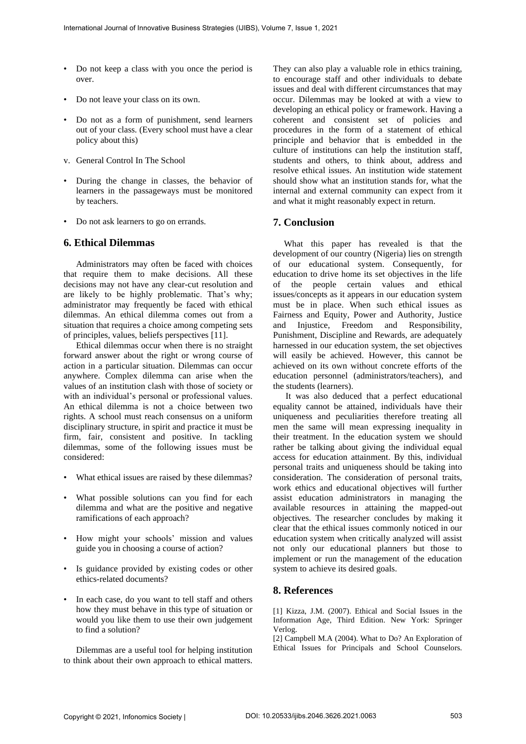- Do not keep a class with you once the period is over.
- Do not leave your class on its own.
- Do not as a form of punishment, send learners out of your class. (Every school must have a clear policy about this)
- v. General Control In The School
- During the change in classes, the behavior of learners in the passageways must be monitored by teachers.
- Do not ask learners to go on errands.

### **6. Ethical Dilemmas**

Administrators may often be faced with choices that require them to make decisions. All these decisions may not have any clear-cut resolution and are likely to be highly problematic. That's why; administrator may frequently be faced with ethical dilemmas. An ethical dilemma comes out from a situation that requires a choice among competing sets of principles, values, beliefs perspectives [11].

Ethical dilemmas occur when there is no straight forward answer about the right or wrong course of action in a particular situation. Dilemmas can occur anywhere. Complex dilemma can arise when the values of an institution clash with those of society or with an individual's personal or professional values. An ethical dilemma is not a choice between two rights. A school must reach consensus on a uniform disciplinary structure, in spirit and practice it must be firm, fair, consistent and positive. In tackling dilemmas, some of the following issues must be considered:

- What ethical issues are raised by these dilemmas?
- What possible solutions can you find for each dilemma and what are the positive and negative ramifications of each approach?
- How might your schools' mission and values guide you in choosing a course of action?
- Is guidance provided by existing codes or other ethics-related documents?
- In each case, do you want to tell staff and others how they must behave in this type of situation or would you like them to use their own judgement to find a solution?

Dilemmas are a useful tool for helping institution to think about their own approach to ethical matters.

They can also play a valuable role in ethics training, to encourage staff and other individuals to debate issues and deal with different circumstances that may occur. Dilemmas may be looked at with a view to developing an ethical policy or framework. Having a coherent and consistent set of policies and procedures in the form of a statement of ethical principle and behavior that is embedded in the culture of institutions can help the institution staff, students and others, to think about, address and resolve ethical issues. An institution wide statement should show what an institution stands for, what the internal and external community can expect from it and what it might reasonably expect in return.

### **7. Conclusion**

What this paper has revealed is that the development of our country (Nigeria) lies on strength of our educational system. Consequently, for education to drive home its set objectives in the life of the people certain values and ethical issues/concepts as it appears in our education system must be in place. When such ethical issues as Fairness and Equity, Power and Authority, Justice and Injustice, Freedom and Responsibility, Punishment, Discipline and Rewards, are adequately harnessed in our education system, the set objectives will easily be achieved. However, this cannot be achieved on its own without concrete efforts of the education personnel (administrators/teachers), and the students (learners).

It was also deduced that a perfect educational equality cannot be attained, individuals have their uniqueness and peculiarities therefore treating all men the same will mean expressing inequality in their treatment. In the education system we should rather be talking about giving the individual equal access for education attainment. By this, individual personal traits and uniqueness should be taking into consideration. The consideration of personal traits, work ethics and educational objectives will further assist education administrators in managing the available resources in attaining the mapped-out objectives. The researcher concludes by making it clear that the ethical issues commonly noticed in our education system when critically analyzed will assist not only our educational planners but those to implement or run the management of the education system to achieve its desired goals.

### **8. References**

[1] Kizza, J.M. (2007). Ethical and Social Issues in the Information Age, Third Edition. New York: Springer Verlog.

[2] Campbell M.A (2004). What to Do? An Exploration of Ethical Issues for Principals and School Counselors.